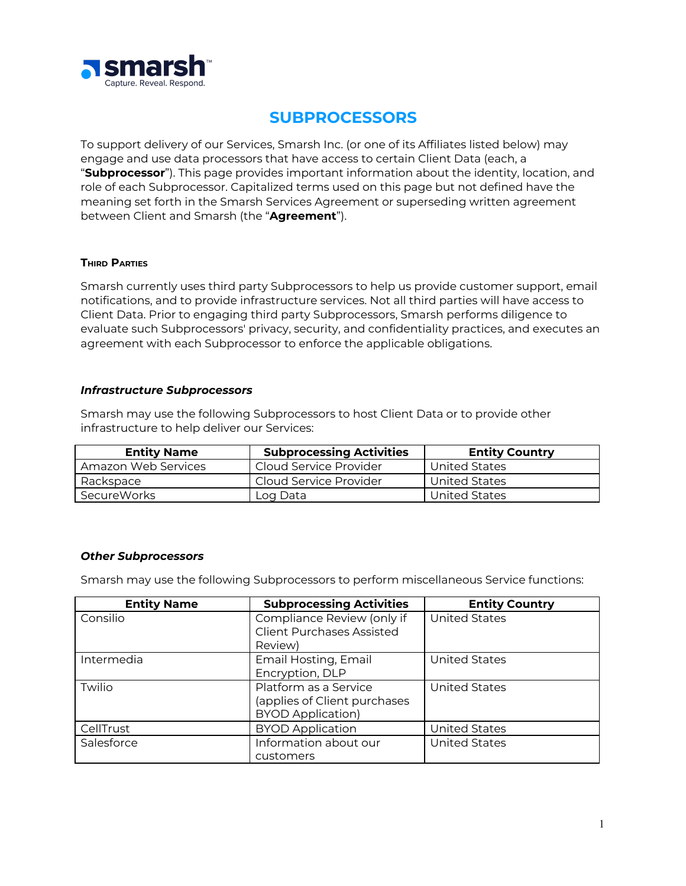

# **SUBPROCESSORS**

To support delivery of our Services, Smarsh Inc. (or one of its Affiliates listed below) may engage and use data processors that have access to certain Client Data (each, a "**Subprocessor**"). This page provides important information about the identity, location, and role of each Subprocessor. Capitalized terms used on this page but not defined have the meaning set forth in the Smarsh Services Agreement or superseding written agreement between Client and Smarsh (the "**Agreement**").

#### **THIRD PARTIES**

Smarsh currently uses third party Subprocessors to help us provide customer support, email notifications, and to provide infrastructure services. Not all third parties will have access to Client Data. Prior to engaging third party Subprocessors, Smarsh performs diligence to evaluate such Subprocessors' privacy, security, and confidentiality practices, and executes an agreement with each Subprocessor to enforce the applicable obligations.

### *Infrastructure Subprocessors*

Smarsh may use the following Subprocessors to host Client Data or to provide other infrastructure to help deliver our Services:

| <b>Entity Name</b>  | <b>Subprocessing Activities</b> | <b>Entity Country</b> |
|---------------------|---------------------------------|-----------------------|
| Amazon Web Services | Cloud Service Provider          | <b>United States</b>  |
| Rackspace           | Cloud Service Provider          | <b>United States</b>  |
| SecureWorks         | Log Data                        | United States         |

### *Other Subprocessors*

Smarsh may use the following Subprocessors to perform miscellaneous Service functions:

| <b>Entity Name</b> | <b>Subprocessing Activities</b>  | <b>Entity Country</b> |
|--------------------|----------------------------------|-----------------------|
| Consilio           | Compliance Review (only if       | <b>United States</b>  |
|                    | <b>Client Purchases Assisted</b> |                       |
|                    | Review)                          |                       |
| Intermedia         | Email Hosting, Email             | <b>United States</b>  |
|                    | Encryption, DLP                  |                       |
| Twilio             | Platform as a Service            | <b>United States</b>  |
|                    | (applies of Client purchases     |                       |
|                    | <b>BYOD Application)</b>         |                       |
| CellTrust          | <b>BYOD Application</b>          | <b>United States</b>  |
| Salesforce         | Information about our            | <b>United States</b>  |
|                    | customers                        |                       |